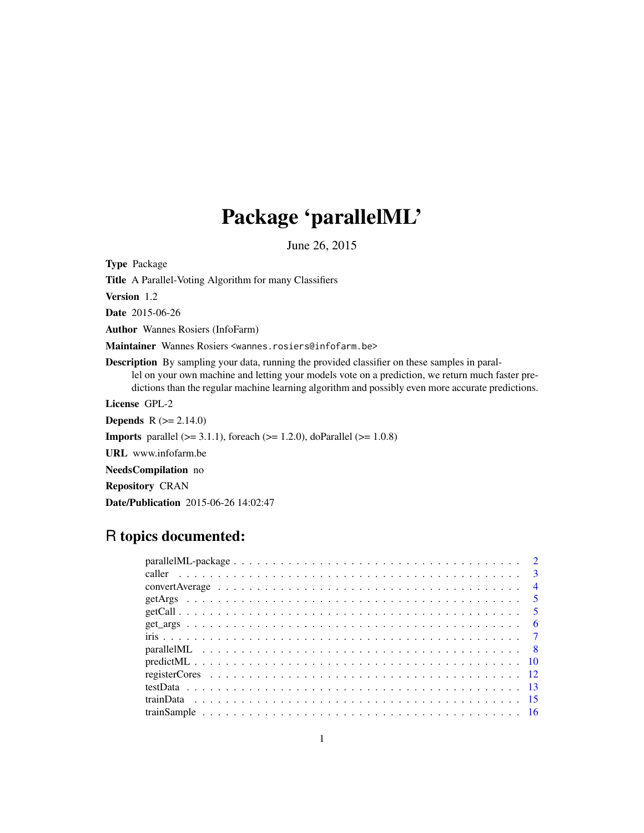# Package 'parallelML'

June 26, 2015

<span id="page-0-0"></span>Type Package

Title A Parallel-Voting Algorithm for many Classifiers

Version 1.2

Date 2015-06-26

Author Wannes Rosiers (InfoFarm)

Maintainer Wannes Rosiers <wannes.rosiers@infofarm.be>

Description By sampling your data, running the provided classifier on these samples in parallel on your own machine and letting your models vote on a prediction, we return much faster predictions than the regular machine learning algorithm and possibly even more accurate predictions.

License GPL-2

**Depends** R  $(>= 2.14.0)$ 

**Imports** parallel ( $>= 3.1.1$ ), foreach ( $>= 1.2.0$ ), doParallel ( $>= 1.0.8$ )

URL www.infofarm.be

NeedsCompilation no

Repository CRAN

Date/Publication 2015-06-26 14:02:47

# R topics documented: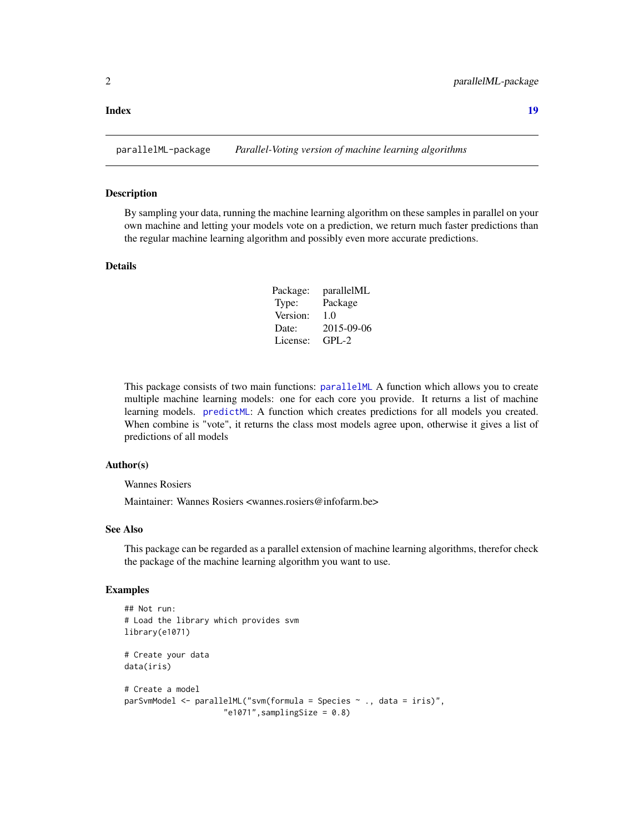#### <span id="page-1-0"></span>**Index** 2008 **Index** 2008 **Index**

parallelML-package *Parallel-Voting version of machine learning algorithms*

#### Description

By sampling your data, running the machine learning algorithm on these samples in parallel on your own machine and letting your models vote on a prediction, we return much faster predictions than the regular machine learning algorithm and possibly even more accurate predictions.

# Details

| Package: | parallelML |
|----------|------------|
| Type:    | Package    |
| Version: | 1.0        |
| Date:    | 2015-09-06 |
| License: | $GPI - 2$  |

This package consists of two main functions: [parallelML](#page-7-1) A function which allows you to create multiple machine learning models: one for each core you provide. It returns a list of machine learning models. [predictML](#page-9-1): A function which creates predictions for all models you created. When combine is "vote", it returns the class most models agree upon, otherwise it gives a list of predictions of all models

#### Author(s)

Wannes Rosiers

Maintainer: Wannes Rosiers <wannes.rosiers@infofarm.be>

# See Also

This package can be regarded as a parallel extension of machine learning algorithms, therefor check the package of the machine learning algorithm you want to use.

# Examples

```
## Not run:
# Load the library which provides svm
library(e1071)
# Create your data
data(iris)
# Create a model
parSvmModel <- parallelML("svm(formula = Species ~ ., data = iris)",
                     "e1071", samplingSize = 0.8)
```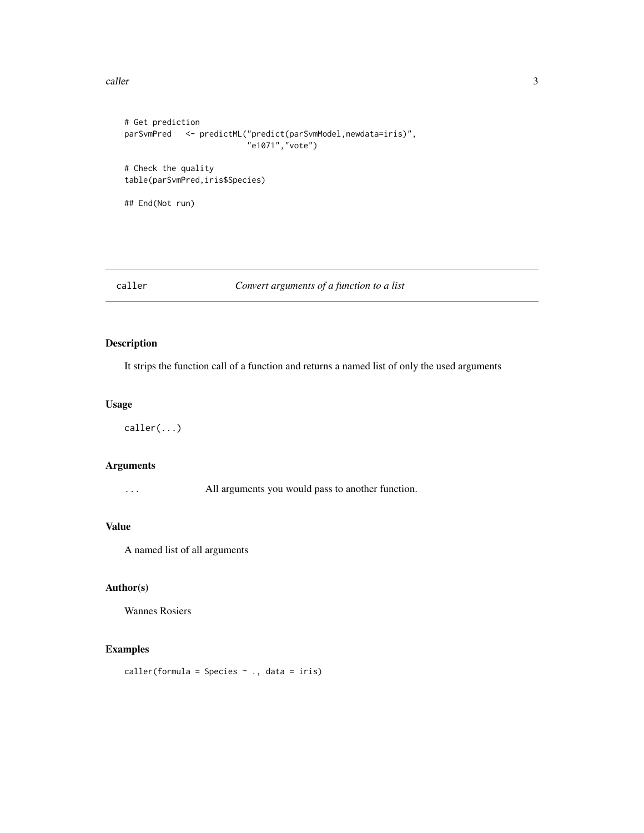<span id="page-2-0"></span>caller 3

```
# Get prediction
parSvmPred <- predictML("predict(parSvmModel,newdata=iris)",
                         "e1071","vote")
# Check the quality
table(parSvmPred,iris$Species)
## End(Not run)
```
# caller *Convert arguments of a function to a list*

# Description

It strips the function call of a function and returns a named list of only the used arguments

#### Usage

caller(...)

#### Arguments

... All arguments you would pass to another function.

# Value

A named list of all arguments

# Author(s)

Wannes Rosiers

# Examples

caller(formula = Species  $\sim$  ., data = iris)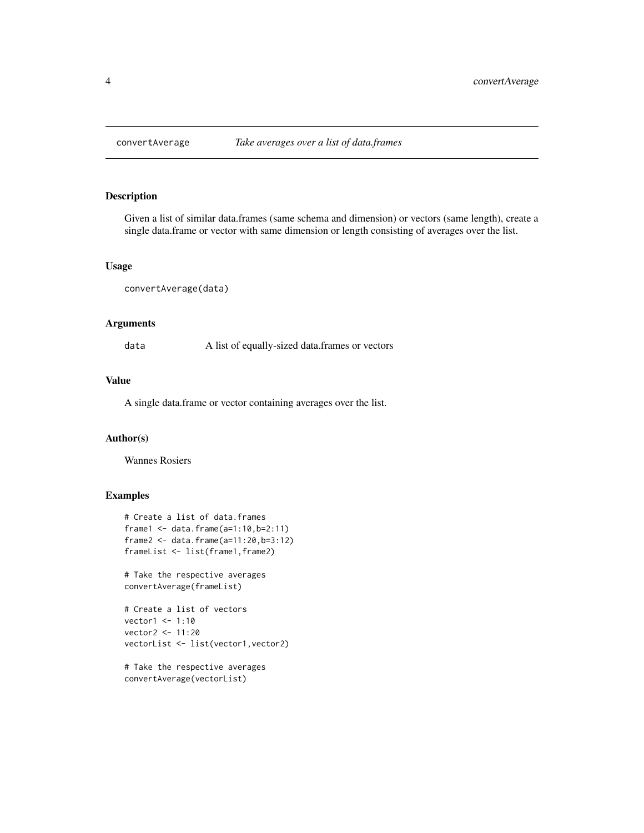<span id="page-3-0"></span>

Given a list of similar data.frames (same schema and dimension) or vectors (same length), create a single data.frame or vector with same dimension or length consisting of averages over the list.

#### Usage

```
convertAverage(data)
```
# Arguments

data A list of equally-sized data.frames or vectors

# Value

A single data.frame or vector containing averages over the list.

# Author(s)

Wannes Rosiers

# Examples

```
# Create a list of data.frames
frame1 <- data.frame(a=1:10,b=2:11)
frame2 <- data.frame(a=11:20,b=3:12)
frameList <- list(frame1,frame2)
```
# Take the respective averages convertAverage(frameList)

```
# Create a list of vectors
vector1 <- 1:10
vector2 <- 11:20
vectorList <- list(vector1,vector2)
```

```
# Take the respective averages
convertAverage(vectorList)
```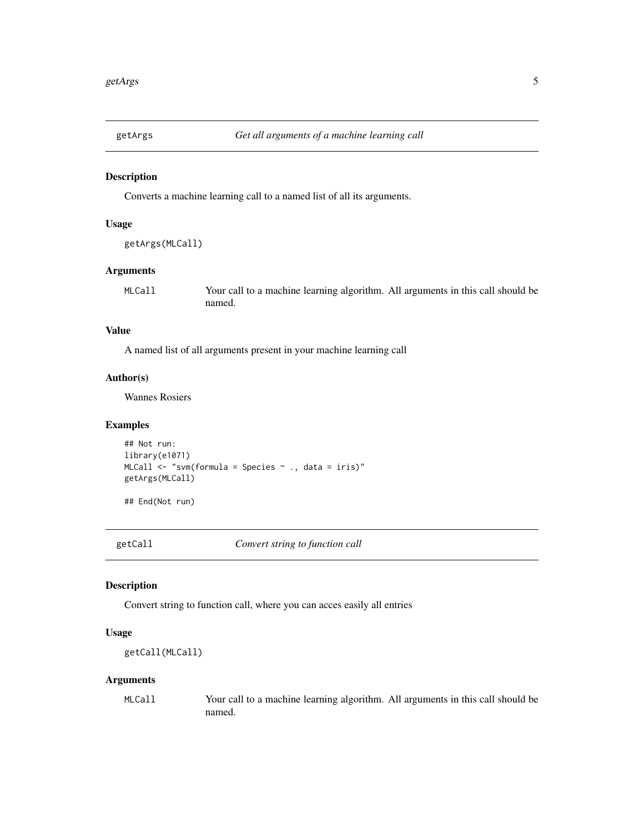<span id="page-4-0"></span>

Converts a machine learning call to a named list of all its arguments.

#### Usage

```
getArgs(MLCall)
```
# Arguments

MLCall Your call to a machine learning algorithm. All arguments in this call should be named.

# Value

A named list of all arguments present in your machine learning call

# Author(s)

Wannes Rosiers

# Examples

```
## Not run:
library(e1071)
MLCall <- "svm(formula = Species ~ ., data = iris)"
getArgs(MLCall)
```
## End(Not run)

getCall *Convert string to function call*

#### Description

Convert string to function call, where you can acces easily all entries

# Usage

```
getCall(MLCall)
```
#### Arguments

| MLCall | Your call to a machine learning algorithm. All arguments in this call should be |
|--------|---------------------------------------------------------------------------------|
|        | named.                                                                          |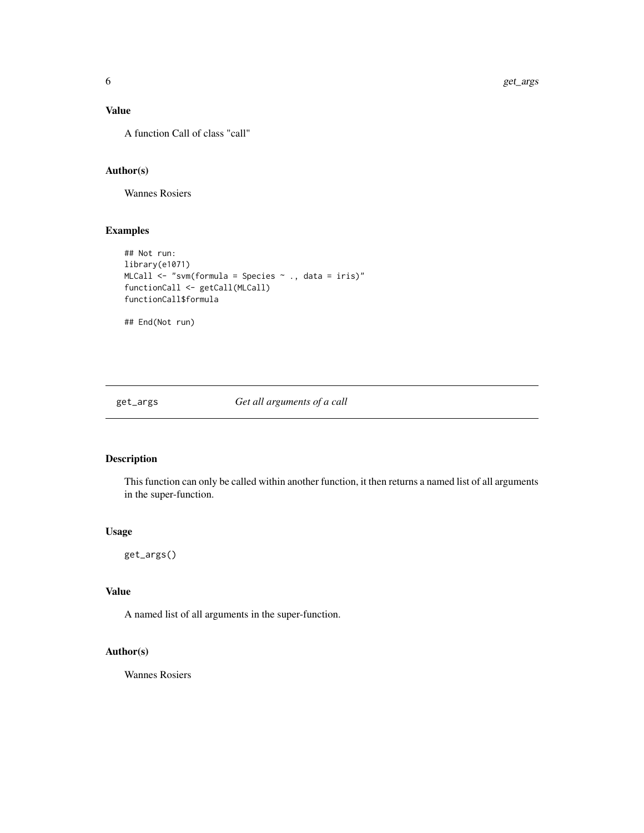# <span id="page-5-0"></span>Value

A function Call of class "call"

# Author(s)

Wannes Rosiers

# Examples

```
## Not run:
library(e1071)
MLCall <- "svm(formula = Species ~ ., data = iris)"
functionCall <- getCall(MLCall)
functionCall$formula
```
## End(Not run)

get\_args *Get all arguments of a call*

# Description

This function can only be called within another function, it then returns a named list of all arguments in the super-function.

# Usage

get\_args()

# Value

A named list of all arguments in the super-function.

# Author(s)

Wannes Rosiers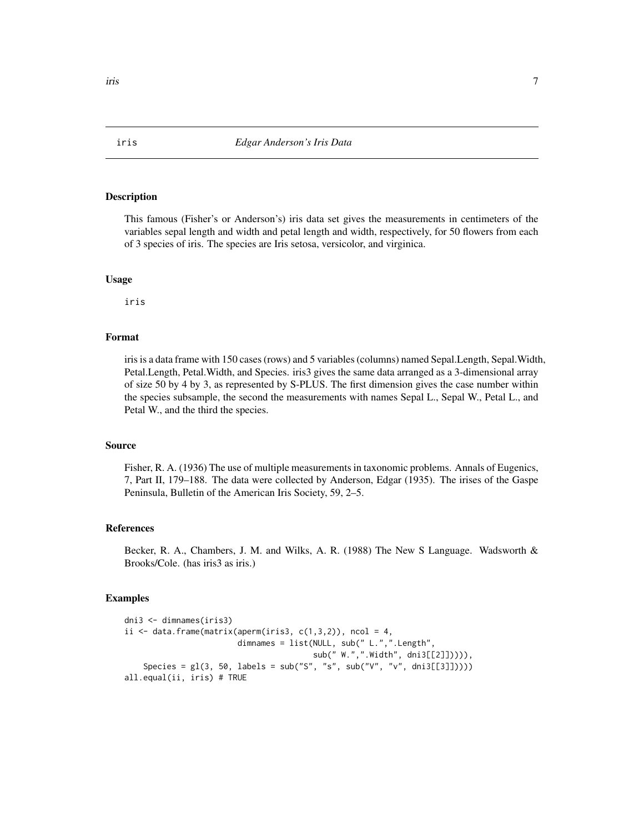This famous (Fisher's or Anderson's) iris data set gives the measurements in centimeters of the variables sepal length and width and petal length and width, respectively, for 50 flowers from each of 3 species of iris. The species are Iris setosa, versicolor, and virginica.

#### Usage

iris

# Format

iris is a data frame with 150 cases (rows) and 5 variables (columns) named Sepal.Length, Sepal.Width, Petal.Length, Petal.Width, and Species. iris3 gives the same data arranged as a 3-dimensional array of size 50 by 4 by 3, as represented by S-PLUS. The first dimension gives the case number within the species subsample, the second the measurements with names Sepal L., Sepal W., Petal L., and Petal W., and the third the species.

#### Source

Fisher, R. A. (1936) The use of multiple measurements in taxonomic problems. Annals of Eugenics, 7, Part II, 179–188. The data were collected by Anderson, Edgar (1935). The irises of the Gaspe Peninsula, Bulletin of the American Iris Society, 59, 2–5.

#### References

Becker, R. A., Chambers, J. M. and Wilks, A. R. (1988) The New S Language. Wadsworth & Brooks/Cole. (has iris3 as iris.)

#### Examples

```
dni3 <- dimnames(iris3)
ii \leq data.frame(matrix(aperm(iris3, c(1,3,2)), ncol = 4,
                        dimnames = list(NULL, sub(" L.",".Length",
                                        sub(" W.",".Width", dni3[[2]])))),
    Species = gl(3, 50, labels = sub("S", "s", sub("V", "v", dni3[[3]]))))all.equal(ii, iris) # TRUE
```
<span id="page-6-0"></span>iris 7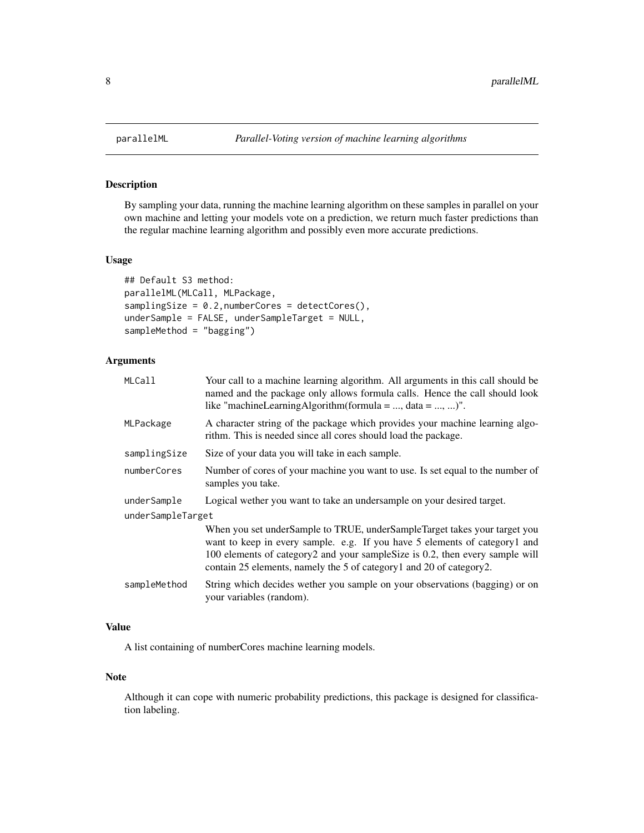By sampling your data, running the machine learning algorithm on these samples in parallel on your own machine and letting your models vote on a prediction, we return much faster predictions than the regular machine learning algorithm and possibly even more accurate predictions.

# Usage

```
## Default S3 method:
parallelML(MLCall, MLPackage,
samplingSize = 0.2,numberCores = detectCores(),
underSample = FALSE, underSampleTarget = NULL,
sampleMethod = "bagging")
```
#### Arguments

| MLCall            | Your call to a machine learning algorithm. All arguments in this call should be<br>named and the package only allows formula calls. Hence the call should look<br>like "machineLearningAlgorithm(formula = , data = , )".                                                                                      |  |  |
|-------------------|----------------------------------------------------------------------------------------------------------------------------------------------------------------------------------------------------------------------------------------------------------------------------------------------------------------|--|--|
| MLPackage         | A character string of the package which provides your machine learning algo-<br>rithm. This is needed since all cores should load the package.                                                                                                                                                                 |  |  |
| samplingSize      | Size of your data you will take in each sample.                                                                                                                                                                                                                                                                |  |  |
| numberCores       | Number of cores of your machine you want to use. Is set equal to the number of<br>samples you take.                                                                                                                                                                                                            |  |  |
| underSample       | Logical wether you want to take an undersample on your desired target.                                                                                                                                                                                                                                         |  |  |
| underSampleTarget |                                                                                                                                                                                                                                                                                                                |  |  |
|                   | When you set underSample to TRUE, underSampleTarget takes your target you<br>want to keep in every sample. e.g. If you have 5 elements of category1 and<br>100 elements of category2 and your sampleSize is 0.2, then every sample will<br>contain 25 elements, namely the 5 of category1 and 20 of category2. |  |  |
| sampleMethod      | String which decides wether you sample on your observations (bagging) or on<br>your variables (random).                                                                                                                                                                                                        |  |  |
|                   |                                                                                                                                                                                                                                                                                                                |  |  |

# Value

A list containing of numberCores machine learning models.

#### Note

Although it can cope with numeric probability predictions, this package is designed for classification labeling.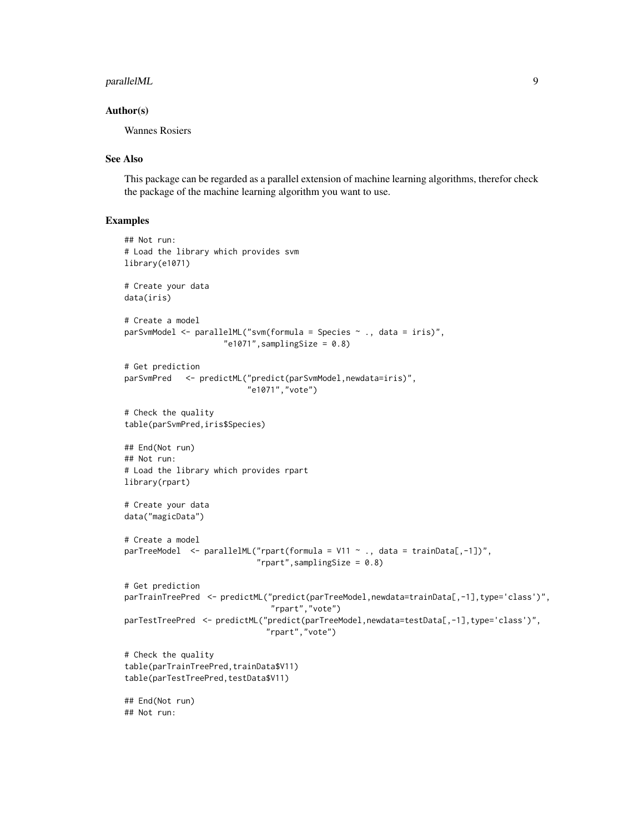# parallelML 9

#### Author(s)

Wannes Rosiers

# See Also

This package can be regarded as a parallel extension of machine learning algorithms, therefor check the package of the machine learning algorithm you want to use.

# Examples

```
## Not run:
# Load the library which provides svm
library(e1071)
# Create your data
data(iris)
# Create a model
parSvmModel <- parallelML("svm(formula = Species ~ ., data = iris)",
                     "e1071", samplingSize = 0.8)# Get prediction
parSvmPred <- predictML("predict(parSvmModel,newdata=iris)",
                          "e1071","vote")
# Check the quality
table(parSvmPred,iris$Species)
## End(Not run)
## Not run:
# Load the library which provides rpart
library(rpart)
# Create your data
data("magicData")
# Create a model
parTreeModel <- parallelML("rpart(formula = V11 \sim ., data = trainData[,-1])",
                            "rpart", samplingSize = 0.8)# Get prediction
parTrainTreePred <- predictML("predict(parTreeModel,newdata=trainData[,-1],type='class')",
                               "rpart","vote")
parTestTreePred <- predictML("predict(parTreeModel,newdata=testData[,-1],type='class')",
                              "rpart","vote")
# Check the quality
table(parTrainTreePred,trainData$V11)
table(parTestTreePred,testData$V11)
## End(Not run)
## Not run:
```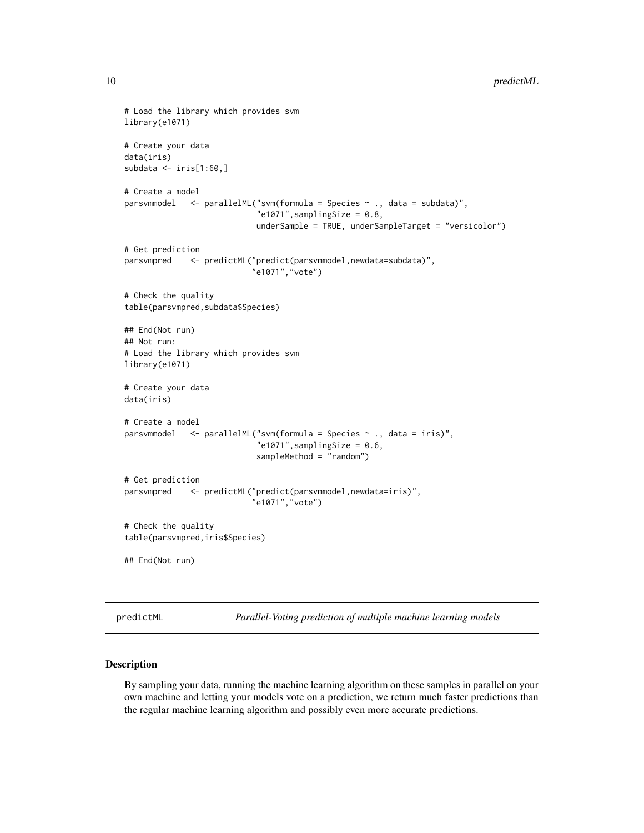```
# Load the library which provides svm
library(e1071)
# Create your data
data(iris)
subdata \le iris[1:60,]
# Create a model
parsvmmodel <- parallelML("svm(formula = Species ~ ., data = subdata)",
                            "e1071", samplingSize = 0.8,
                            underSample = TRUE, underSampleTarget = "versicolor")
# Get prediction
parsvmpred <- predictML("predict(parsvmmodel,newdata=subdata)",
                           "e1071","vote")
# Check the quality
table(parsvmpred,subdata$Species)
## End(Not run)
## Not run:
# Load the library which provides svm
library(e1071)
# Create your data
data(iris)
# Create a model
parsvmmodel <- parallelML("svm(formula = Species ~ ., data = iris)",
                            "e1071", samplingSize = 0.6,
                            sampleMethod = "random")
# Get prediction
parsvmpred <- predictML("predict(parsvmmodel,newdata=iris)",
                           "e1071","vote")
# Check the quality
table(parsvmpred,iris$Species)
## End(Not run)
```
<span id="page-9-1"></span>predictML *Parallel-Voting prediction of multiple machine learning models*

#### Description

By sampling your data, running the machine learning algorithm on these samples in parallel on your own machine and letting your models vote on a prediction, we return much faster predictions than the regular machine learning algorithm and possibly even more accurate predictions.

<span id="page-9-0"></span>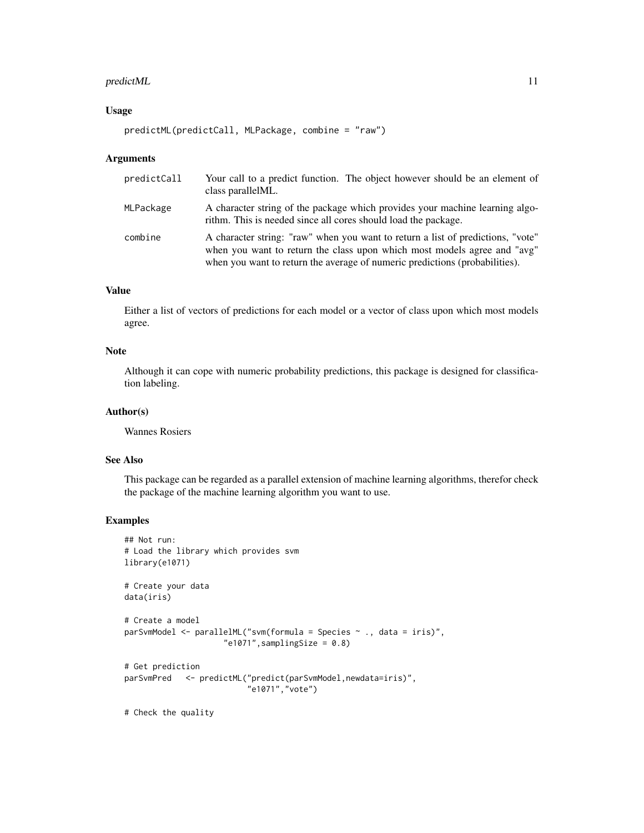# predictML 11

#### Usage

```
predictML(predictCall, MLPackage, combine = "raw")
```
#### Arguments

| predictCall | Your call to a predict function. The object however should be an element of<br>class parallel ML.                                                                                                                                          |
|-------------|--------------------------------------------------------------------------------------------------------------------------------------------------------------------------------------------------------------------------------------------|
| MLPackage   | A character string of the package which provides your machine learning algo-<br>rithm. This is needed since all cores should load the package.                                                                                             |
| combine     | A character string: "raw" when you want to return a list of predictions, "vote"<br>when you want to return the class upon which most models agree and "avg"<br>when you want to return the average of numeric predictions (probabilities). |

# Value

Either a list of vectors of predictions for each model or a vector of class upon which most models agree.

#### Note

Although it can cope with numeric probability predictions, this package is designed for classification labeling.

# Author(s)

Wannes Rosiers

# See Also

This package can be regarded as a parallel extension of machine learning algorithms, therefor check the package of the machine learning algorithm you want to use.

# Examples

```
## Not run:
# Load the library which provides svm
library(e1071)
# Create your data
data(iris)
# Create a model
parSvmModel <- parallelML("svm(formula = Species ~ ., data = iris)",
                     "e1071", samplingSize = 0.8)
# Get prediction
parSvmPred <- predictML("predict(parSvmModel,newdata=iris)",
                          "e1071","vote")
```
# Check the quality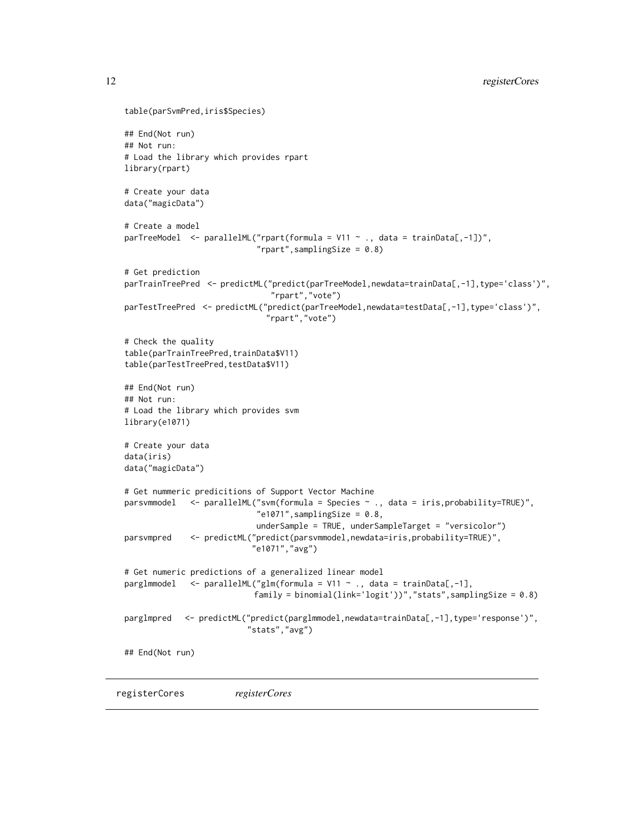```
table(parSvmPred,iris$Species)
## End(Not run)
## Not run:
# Load the library which provides rpart
library(rpart)
# Create your data
data("magicData")
# Create a model
parTreeModel <- parallelML("rpart(formula = V11 ~ ., data = trainData[,-1])",
                            "rpart", samplingSize = 0.8)# Get prediction
parTrainTreePred <- predictML("predict(parTreeModel,newdata=trainData[,-1],type='class')",
                               "rpart","vote")
parTestTreePred <- predictML("predict(parTreeModel,newdata=testData[,-1],type='class')",
                              "rpart","vote")
# Check the quality
table(parTrainTreePred,trainData$V11)
table(parTestTreePred,testData$V11)
## End(Not run)
## Not run:
# Load the library which provides svm
library(e1071)
# Create your data
data(iris)
data("magicData")
# Get nummeric predicitions of Support Vector Machine
parsvmmodel <- parallelML("svm(formula = Species ~ ., data = iris, probability=TRUE)",
                            "e1071", samplingSize = 0.8,
                            underSample = TRUE, underSampleTarget = "versicolor")
parsvmpred <- predictML("predict(parsvmmodel,newdata=iris,probability=TRUE)",
                           "e1071","avg")
# Get numeric predictions of a generalized linear model
parglmmodel <- parallelML("glm(formula = V11 ~ ., data = trainData[,-1],
                           family = binomial(link='logit'))","stats",samplingSize = 0.8)
parglmpred <- predictML("predict(parglmmodel,newdata=trainData[,-1],type='response')",
                          "stats","avg")
## End(Not run)
```
registerCores *registerCores*

<span id="page-11-0"></span>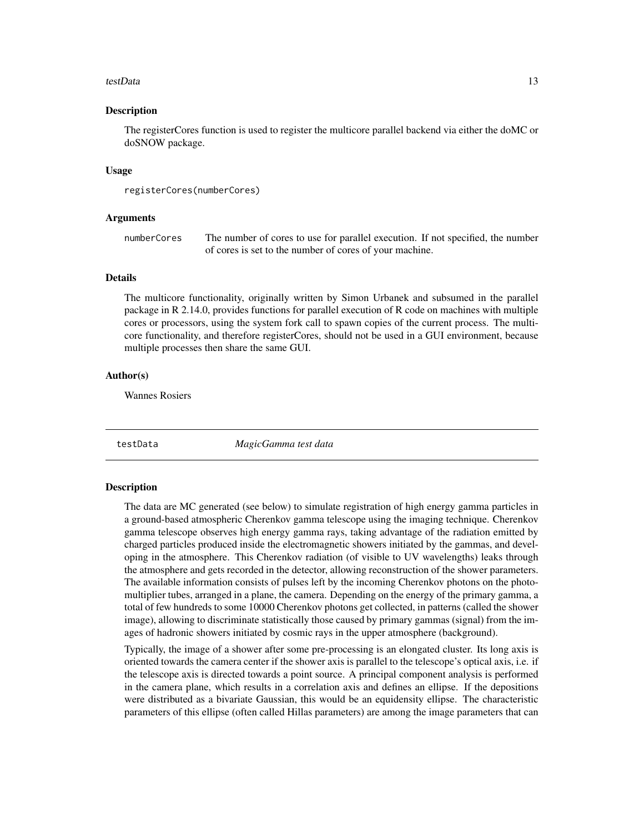#### <span id="page-12-0"></span>testData 13

#### **Description**

The registerCores function is used to register the multicore parallel backend via either the doMC or doSNOW package.

#### Usage

```
registerCores(numberCores)
```
#### Arguments

numberCores The number of cores to use for parallel execution. If not specified, the number of cores is set to the number of cores of your machine.

# Details

The multicore functionality, originally written by Simon Urbanek and subsumed in the parallel package in R 2.14.0, provides functions for parallel execution of R code on machines with multiple cores or processors, using the system fork call to spawn copies of the current process. The multicore functionality, and therefore registerCores, should not be used in a GUI environment, because multiple processes then share the same GUI.

#### Author(s)

Wannes Rosiers

testData *MagicGamma test data*

#### **Description**

The data are MC generated (see below) to simulate registration of high energy gamma particles in a ground-based atmospheric Cherenkov gamma telescope using the imaging technique. Cherenkov gamma telescope observes high energy gamma rays, taking advantage of the radiation emitted by charged particles produced inside the electromagnetic showers initiated by the gammas, and developing in the atmosphere. This Cherenkov radiation (of visible to UV wavelengths) leaks through the atmosphere and gets recorded in the detector, allowing reconstruction of the shower parameters. The available information consists of pulses left by the incoming Cherenkov photons on the photomultiplier tubes, arranged in a plane, the camera. Depending on the energy of the primary gamma, a total of few hundreds to some 10000 Cherenkov photons get collected, in patterns (called the shower image), allowing to discriminate statistically those caused by primary gammas (signal) from the images of hadronic showers initiated by cosmic rays in the upper atmosphere (background).

Typically, the image of a shower after some pre-processing is an elongated cluster. Its long axis is oriented towards the camera center if the shower axis is parallel to the telescope's optical axis, i.e. if the telescope axis is directed towards a point source. A principal component analysis is performed in the camera plane, which results in a correlation axis and defines an ellipse. If the depositions were distributed as a bivariate Gaussian, this would be an equidensity ellipse. The characteristic parameters of this ellipse (often called Hillas parameters) are among the image parameters that can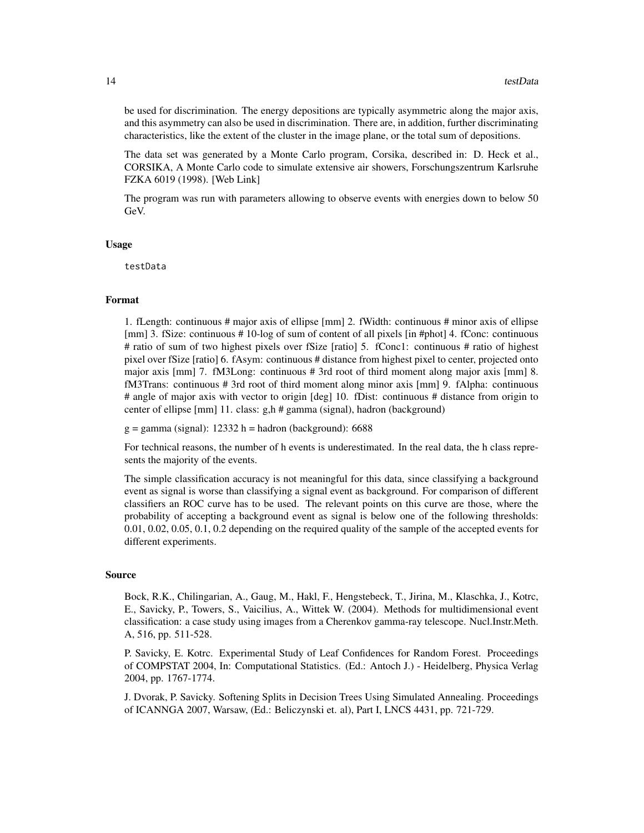be used for discrimination. The energy depositions are typically asymmetric along the major axis, and this asymmetry can also be used in discrimination. There are, in addition, further discriminating characteristics, like the extent of the cluster in the image plane, or the total sum of depositions.

The data set was generated by a Monte Carlo program, Corsika, described in: D. Heck et al., CORSIKA, A Monte Carlo code to simulate extensive air showers, Forschungszentrum Karlsruhe FZKA 6019 (1998). [Web Link]

The program was run with parameters allowing to observe events with energies down to below 50 GeV.

#### Usage

testData

# Format

1. fLength: continuous # major axis of ellipse [mm] 2. fWidth: continuous # minor axis of ellipse [mm] 3. fSize: continuous # 10-log of sum of content of all pixels [in #phot] 4. fConc: continuous # ratio of sum of two highest pixels over fSize [ratio] 5. fConc1: continuous # ratio of highest pixel over fSize [ratio] 6. fAsym: continuous # distance from highest pixel to center, projected onto major axis [mm] 7. fM3Long: continuous # 3rd root of third moment along major axis [mm] 8. fM3Trans: continuous # 3rd root of third moment along minor axis [mm] 9. fAlpha: continuous # angle of major axis with vector to origin [deg] 10. fDist: continuous # distance from origin to center of ellipse [mm] 11. class: g,h # gamma (signal), hadron (background)

 $g =$ gamma (signal): 12332 h = hadron (background): 6688

For technical reasons, the number of h events is underestimated. In the real data, the h class represents the majority of the events.

The simple classification accuracy is not meaningful for this data, since classifying a background event as signal is worse than classifying a signal event as background. For comparison of different classifiers an ROC curve has to be used. The relevant points on this curve are those, where the probability of accepting a background event as signal is below one of the following thresholds: 0.01, 0.02, 0.05, 0.1, 0.2 depending on the required quality of the sample of the accepted events for different experiments.

#### Source

Bock, R.K., Chilingarian, A., Gaug, M., Hakl, F., Hengstebeck, T., Jirina, M., Klaschka, J., Kotrc, E., Savicky, P., Towers, S., Vaicilius, A., Wittek W. (2004). Methods for multidimensional event classification: a case study using images from a Cherenkov gamma-ray telescope. Nucl.Instr.Meth. A, 516, pp. 511-528.

P. Savicky, E. Kotrc. Experimental Study of Leaf Confidences for Random Forest. Proceedings of COMPSTAT 2004, In: Computational Statistics. (Ed.: Antoch J.) - Heidelberg, Physica Verlag 2004, pp. 1767-1774.

J. Dvorak, P. Savicky. Softening Splits in Decision Trees Using Simulated Annealing. Proceedings of ICANNGA 2007, Warsaw, (Ed.: Beliczynski et. al), Part I, LNCS 4431, pp. 721-729.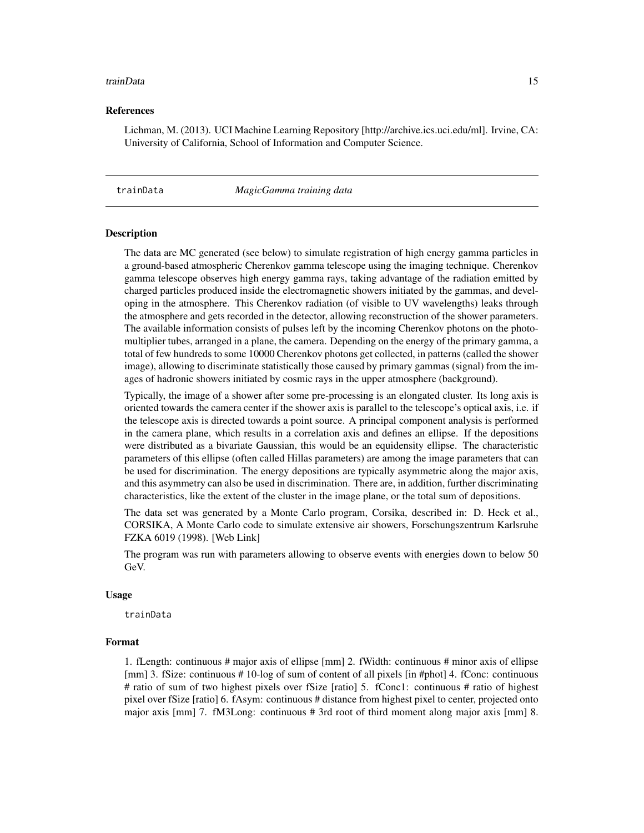#### <span id="page-14-0"></span>trainData 15

#### References

Lichman, M. (2013). UCI Machine Learning Repository [http://archive.ics.uci.edu/ml]. Irvine, CA: University of California, School of Information and Computer Science.

trainData *MagicGamma training data*

#### **Description**

The data are MC generated (see below) to simulate registration of high energy gamma particles in a ground-based atmospheric Cherenkov gamma telescope using the imaging technique. Cherenkov gamma telescope observes high energy gamma rays, taking advantage of the radiation emitted by charged particles produced inside the electromagnetic showers initiated by the gammas, and developing in the atmosphere. This Cherenkov radiation (of visible to UV wavelengths) leaks through the atmosphere and gets recorded in the detector, allowing reconstruction of the shower parameters. The available information consists of pulses left by the incoming Cherenkov photons on the photomultiplier tubes, arranged in a plane, the camera. Depending on the energy of the primary gamma, a total of few hundreds to some 10000 Cherenkov photons get collected, in patterns (called the shower image), allowing to discriminate statistically those caused by primary gammas (signal) from the images of hadronic showers initiated by cosmic rays in the upper atmosphere (background).

Typically, the image of a shower after some pre-processing is an elongated cluster. Its long axis is oriented towards the camera center if the shower axis is parallel to the telescope's optical axis, i.e. if the telescope axis is directed towards a point source. A principal component analysis is performed in the camera plane, which results in a correlation axis and defines an ellipse. If the depositions were distributed as a bivariate Gaussian, this would be an equidensity ellipse. The characteristic parameters of this ellipse (often called Hillas parameters) are among the image parameters that can be used for discrimination. The energy depositions are typically asymmetric along the major axis, and this asymmetry can also be used in discrimination. There are, in addition, further discriminating characteristics, like the extent of the cluster in the image plane, or the total sum of depositions.

The data set was generated by a Monte Carlo program, Corsika, described in: D. Heck et al., CORSIKA, A Monte Carlo code to simulate extensive air showers, Forschungszentrum Karlsruhe FZKA 6019 (1998). [Web Link]

The program was run with parameters allowing to observe events with energies down to below 50 GeV.

#### Usage

trainData

# Format

1. fLength: continuous # major axis of ellipse [mm] 2. fWidth: continuous # minor axis of ellipse [mm] 3. fSize: continuous # 10-log of sum of content of all pixels [in #phot] 4. fConc: continuous # ratio of sum of two highest pixels over fSize [ratio] 5. fConc1: continuous # ratio of highest pixel over fSize [ratio] 6. fAsym: continuous # distance from highest pixel to center, projected onto major axis [mm] 7. fM3Long: continuous # 3rd root of third moment along major axis [mm] 8.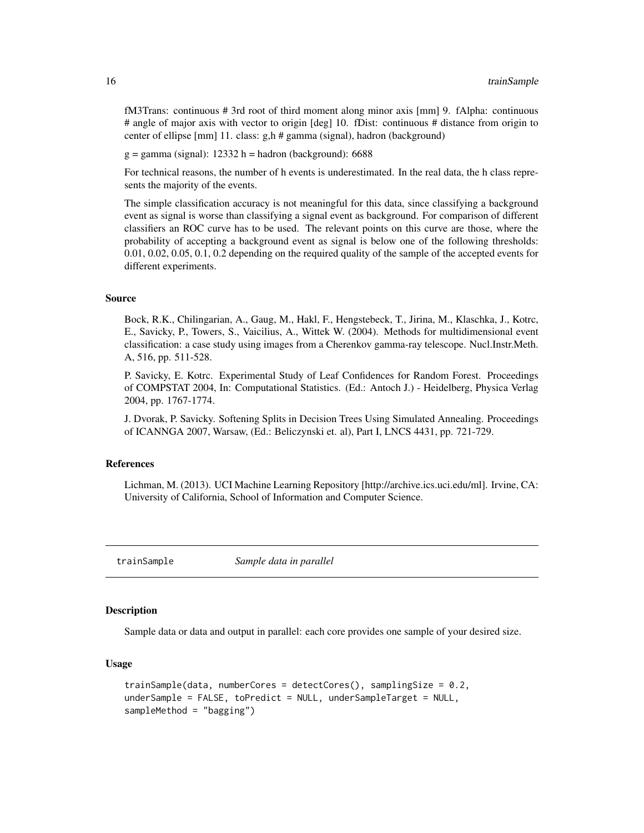<span id="page-15-0"></span>fM3Trans: continuous # 3rd root of third moment along minor axis [mm] 9. fAlpha: continuous # angle of major axis with vector to origin [deg] 10. fDist: continuous # distance from origin to center of ellipse [mm] 11. class: g,h # gamma (signal), hadron (background)

 $g =$ gamma (signal): 12332 h = hadron (background): 6688

For technical reasons, the number of h events is underestimated. In the real data, the h class represents the majority of the events.

The simple classification accuracy is not meaningful for this data, since classifying a background event as signal is worse than classifying a signal event as background. For comparison of different classifiers an ROC curve has to be used. The relevant points on this curve are those, where the probability of accepting a background event as signal is below one of the following thresholds: 0.01, 0.02, 0.05, 0.1, 0.2 depending on the required quality of the sample of the accepted events for different experiments.

#### Source

Bock, R.K., Chilingarian, A., Gaug, M., Hakl, F., Hengstebeck, T., Jirina, M., Klaschka, J., Kotrc, E., Savicky, P., Towers, S., Vaicilius, A., Wittek W. (2004). Methods for multidimensional event classification: a case study using images from a Cherenkov gamma-ray telescope. Nucl.Instr.Meth. A, 516, pp. 511-528.

P. Savicky, E. Kotrc. Experimental Study of Leaf Confidences for Random Forest. Proceedings of COMPSTAT 2004, In: Computational Statistics. (Ed.: Antoch J.) - Heidelberg, Physica Verlag 2004, pp. 1767-1774.

J. Dvorak, P. Savicky. Softening Splits in Decision Trees Using Simulated Annealing. Proceedings of ICANNGA 2007, Warsaw, (Ed.: Beliczynski et. al), Part I, LNCS 4431, pp. 721-729.

#### References

Lichman, M. (2013). UCI Machine Learning Repository [http://archive.ics.uci.edu/ml]. Irvine, CA: University of California, School of Information and Computer Science.

trainSample *Sample data in parallel*

#### Description

Sample data or data and output in parallel: each core provides one sample of your desired size.

#### Usage

```
trainSample(data, numberCores = detectCores(), samplingSize = 0.2,
underSample = FALSE, toPredict = NULL, underSampleTarget = NULL,
sampleMethod = "bagging")
```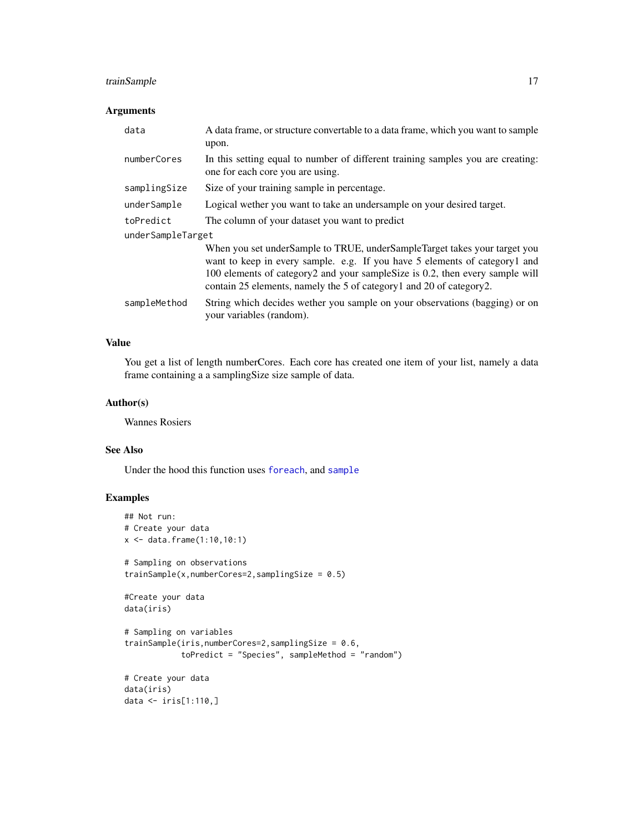# <span id="page-16-0"></span>trainSample 17

# Arguments

| data              | A data frame, or structure convertable to a data frame, which you want to sample<br>upon.                                                                                                                                                                                                                         |  |  |
|-------------------|-------------------------------------------------------------------------------------------------------------------------------------------------------------------------------------------------------------------------------------------------------------------------------------------------------------------|--|--|
| numberCores       | In this setting equal to number of different training samples you are creating:<br>one for each core you are using.                                                                                                                                                                                               |  |  |
| samplingSize      | Size of your training sample in percentage.                                                                                                                                                                                                                                                                       |  |  |
| underSample       | Logical wether you want to take an undersample on your desired target.                                                                                                                                                                                                                                            |  |  |
| toPredict         | The column of your dataset you want to predict                                                                                                                                                                                                                                                                    |  |  |
| underSampleTarget |                                                                                                                                                                                                                                                                                                                   |  |  |
|                   | When you set underSample to TRUE, underSampleTarget takes your target you<br>want to keep in every sample. e.g. If you have 5 elements of category1 and<br>100 elements of category2 and your sample Size is 0.2, then every sample will<br>contain 25 elements, namely the 5 of category 1 and 20 of category 2. |  |  |
| sampleMethod      | String which decides wether you sample on your observations (bagging) or on<br>your variables (random).                                                                                                                                                                                                           |  |  |

# Value

You get a list of length numberCores. Each core has created one item of your list, namely a data frame containing a a samplingSize size sample of data.

#### Author(s)

Wannes Rosiers

#### See Also

Under the hood this function uses [foreach](#page-0-0), and [sample](#page-0-0)

# Examples

```
## Not run:
# Create your data
x <- data.frame(1:10,10:1)
# Sampling on observations
trainSample(x,numberCores=2,samplingSize = 0.5)
#Create your data
data(iris)
# Sampling on variables
trainSample(iris,numberCores=2,samplingSize = 0.6,
            toPredict = "Species", sampleMethod = "random")
# Create your data
data(iris)
data <- iris[1:110,]
```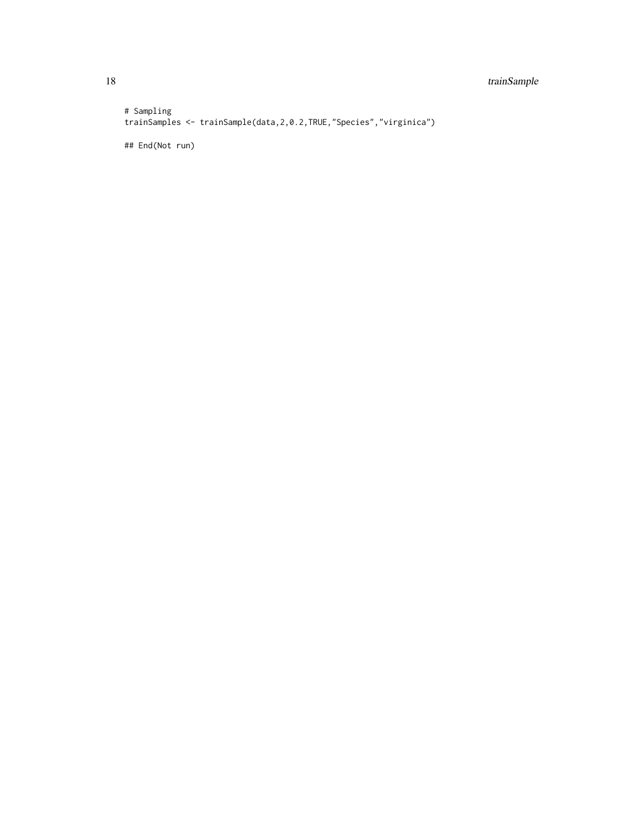```
# Sampling
trainSamples <- trainSample(data,2,0.2,TRUE,"Species","virginica")
## End(Not run)
```